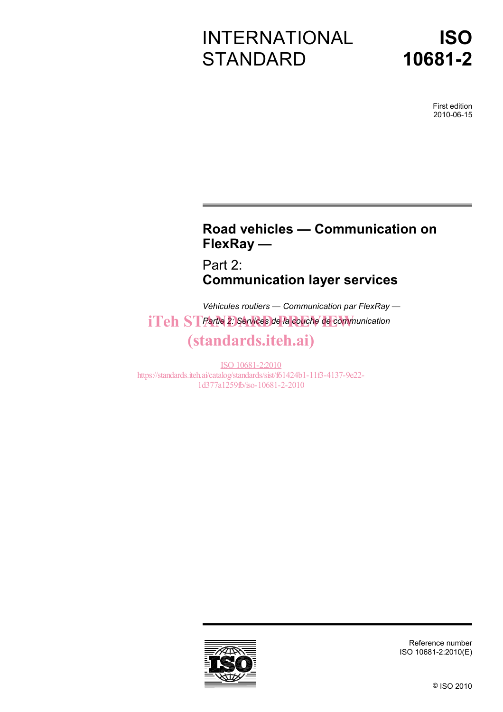# INTERNATIONAL **STANDARD**

# **ISO 10681-2**

First edition 2010-06-15

# **Road vehicles — Communication on FlexRay —**

Part 2: **Communication layer services** 

*Véhicules routiers — Communication par FlexRay*  iTeh ST Partie 2: Services de la couche de communication

# (standards.iteh.ai)

ISO 10681-2:2010 https://standards.iteh.ai/catalog/standards/sist/f61424b1-11f3-4137-9e22- 1d377a1259fb/iso-10681-2-2010



Reference number ISO 10681-2:2010(E)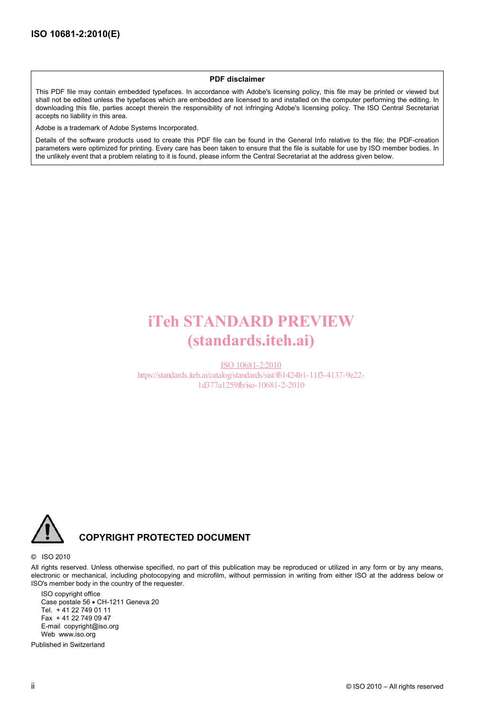#### **PDF disclaimer**

This PDF file may contain embedded typefaces. In accordance with Adobe's licensing policy, this file may be printed or viewed but shall not be edited unless the typefaces which are embedded are licensed to and installed on the computer performing the editing. In downloading this file, parties accept therein the responsibility of not infringing Adobe's licensing policy. The ISO Central Secretariat accepts no liability in this area.

Adobe is a trademark of Adobe Systems Incorporated.

Details of the software products used to create this PDF file can be found in the General Info relative to the file; the PDF-creation parameters were optimized for printing. Every care has been taken to ensure that the file is suitable for use by ISO member bodies. In the unlikely event that a problem relating to it is found, please inform the Central Secretariat at the address given below.

# iTeh STANDARD PREVIEW (standards.iteh.ai)

ISO 10681-2:2010 https://standards.iteh.ai/catalog/standards/sist/f61424b1-11f3-4137-9e22- 1d377a1259fb/iso-10681-2-2010



#### **COPYRIGHT PROTECTED DOCUMENT**

#### © ISO 2010

All rights reserved. Unless otherwise specified, no part of this publication may be reproduced or utilized in any form or by any means, electronic or mechanical, including photocopying and microfilm, without permission in writing from either ISO at the address below or ISO's member body in the country of the requester.

ISO copyright office Case postale 56 • CH-1211 Geneva 20 Tel. + 41 22 749 01 11 Fax + 41 22 749 09 47 E-mail copyright@iso.org Web www.iso.org

Published in Switzerland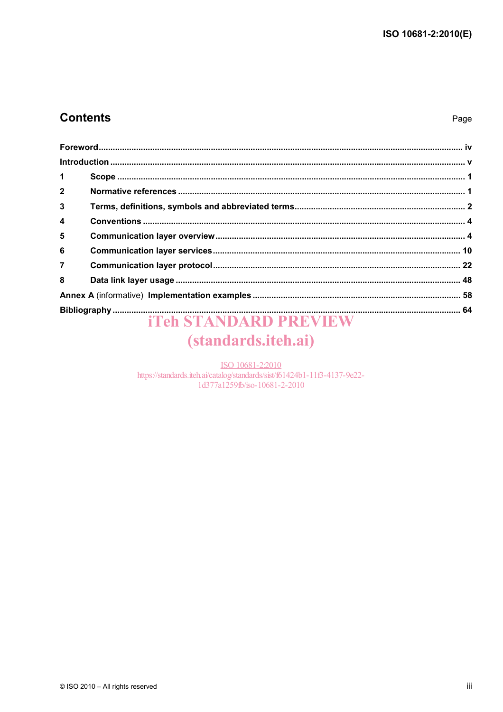## **Contents**

## Page

| $\blacktriangleleft$         |  |  |
|------------------------------|--|--|
| $\overline{2}$               |  |  |
| 3                            |  |  |
| $\boldsymbol{4}$             |  |  |
| 5                            |  |  |
| 6                            |  |  |
| $\overline{7}$               |  |  |
| 8                            |  |  |
|                              |  |  |
| <b>iTeh STANDARD PREVIEW</b> |  |  |

# (standards.iteh.ai)

ISO 10681-2:2010 https://standards.iteh.ai/catalog/standards/sist/f61424b1-11f3-4137-9e22-1d377a1259fb/iso-10681-2-2010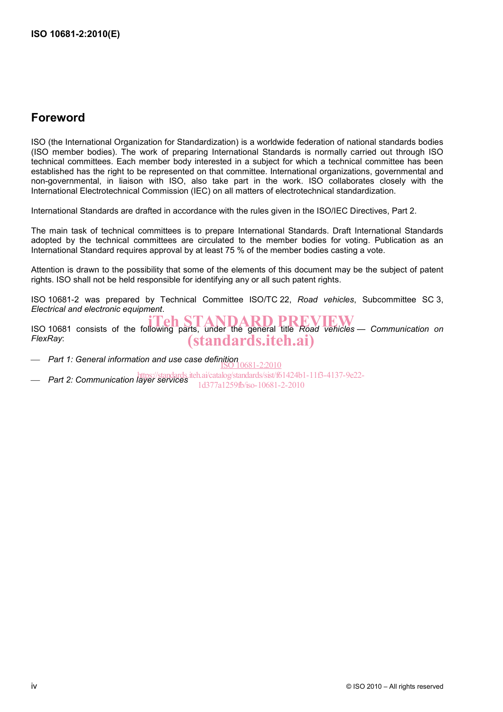## **Foreword**

ISO (the International Organization for Standardization) is a worldwide federation of national standards bodies (ISO member bodies). The work of preparing International Standards is normally carried out through ISO technical committees. Each member body interested in a subject for which a technical committee has been established has the right to be represented on that committee. International organizations, governmental and non-governmental, in liaison with ISO, also take part in the work. ISO collaborates closely with the International Electrotechnical Commission (IEC) on all matters of electrotechnical standardization.

International Standards are drafted in accordance with the rules given in the ISO/IEC Directives, Part 2.

The main task of technical committees is to prepare International Standards. Draft International Standards adopted by the technical committees are circulated to the member bodies for voting. Publication as an International Standard requires approval by at least 75 % of the member bodies casting a vote.

Attention is drawn to the possibility that some of the elements of this document may be the subject of patent rights. ISO shall not be held responsible for identifying any or all such patent rights.

ISO 10681-2 was prepared by Technical Committee ISO/TC 22, *Road vehicles*, Subcommittee SC 3, *Electrical and electronic equipment*.

ISO 10681 consists of the following parts, under the general title *Road vehicles* — Communication on *FlexRay*: (standards.iteh.ai)

Part 1: General information and use case definition ISO 10681-2:2010

⎯ *Part 2: Communication layer services* https://standards.iteh.ai/catalog/standards/sist/f61424b1-11f3-4137-9e22- 1d377a1259fb/iso-10681-2-2010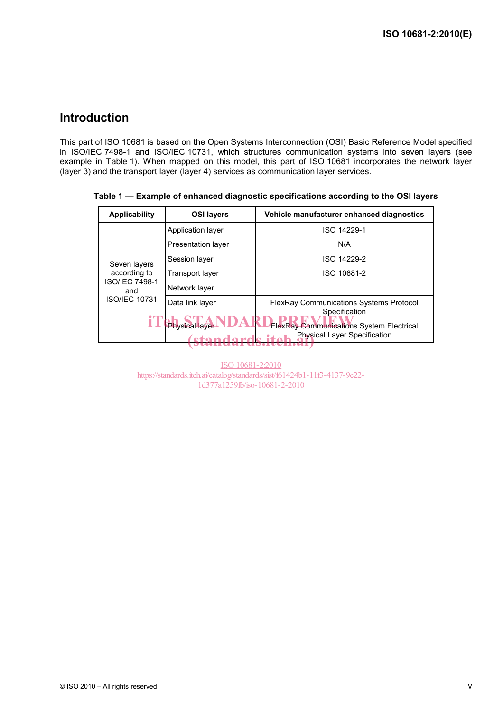## **Introduction**

This part of ISO 10681 is based on the Open Systems Interconnection (OSI) Basic Reference Model specified in ISO/IEC 7498-1 and ISO/IEC 10731, which structures communication systems into seven layers (see example in Table 1). When mapped on this model, this part of ISO 10681 incorporates the network layer (layer 3) and the transport layer (layer 4) services as communication layer services.

| <b>Applicability</b>         | <b>OSI layers</b>         | Vehicle manufacturer enhanced diagnostics                                |
|------------------------------|---------------------------|--------------------------------------------------------------------------|
|                              | Application layer         | ISO 14229-1                                                              |
|                              | <b>Presentation layer</b> | N/A                                                                      |
| Seven layers                 | Session layer             | ISO 14229-2                                                              |
| according to                 | Transport layer           | ISO 10681-2                                                              |
| <b>ISO/IEC 7498-1</b><br>and | Network layer             |                                                                          |
| <b>ISO/IEC 10731</b>         | Data link layer           | <b>FlexRay Communications Systems Protocol</b><br>Specification          |
|                              | Physical layer            | FlexRay Communications System Electrical<br>Physical Layer Specification |

**Table 1 — Example of enhanced diagnostic specifications according to the OSI layers** 

ISO 10681-2:2010 https://standards.iteh.ai/catalog/standards/sist/f61424b1-11f3-4137-9e22- 1d377a1259fb/iso-10681-2-2010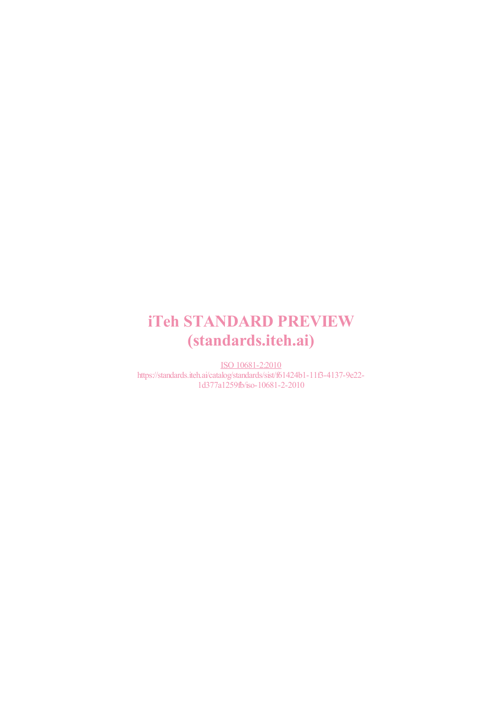# iTeh STANDARD PREVIEW (standards.iteh.ai)

ISO 10681-2:2010 https://standards.iteh.ai/catalog/standards/sist/f61424b1-11f3-4137-9e22- 1d377a1259fb/iso-10681-2-2010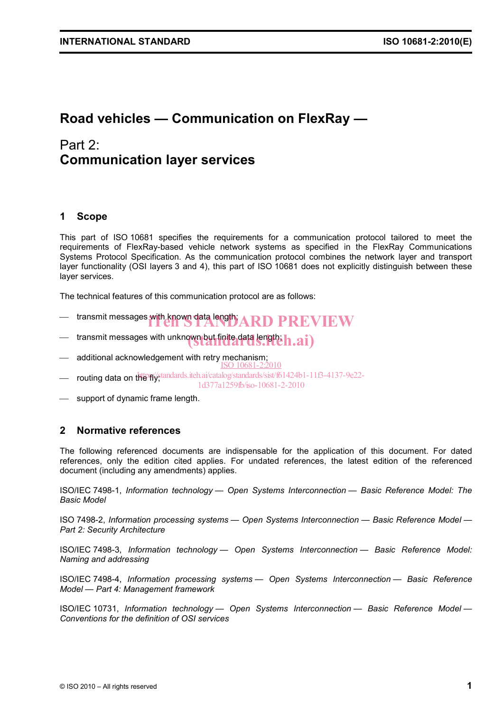## **Road vehicles — Communication on FlexRay —**

## Part 2: **Communication layer services**

#### **1 Scope**

This part of ISO 10681 specifies the requirements for a communication protocol tailored to meet the requirements of FlexRay-based vehicle network systems as specified in the FlexRay Communications Systems Protocol Specification. As the communication protocol combines the network layer and transport layer functionality (OSI layers 3 and 4), this part of ISO 10681 does not explicitly distinguish between these layer services.

The technical features of this communication protocol are as follows:

- transmit messages with known data length ARD PREVIEW
- $-$  transmit messages with unknown but finite data length:  $\mathbf{h}.\mathbf{ai})$
- additional acknowledgement with retry mechanism;<br>ISO 10681-2:2010 ISO 10681-2:
- routing data on the flystandards.iteh.ai/catalog/standards/sist/f61424b1-11f3-4137-9e22-1d377a1259fb/iso-10681-2-2010
- $-$  support of dynamic frame length.

#### **2 Normative references**

The following referenced documents are indispensable for the application of this document. For dated references, only the edition cited applies. For undated references, the latest edition of the referenced document (including any amendments) applies.

ISO/IEC 7498-1, *Information technology — Open Systems Interconnection — Basic Reference Model: The Basic Model*

ISO 7498-2, *Information processing systems — Open Systems Interconnection — Basic Reference Model — Part 2: Security Architecture*

ISO/IEC 7498-3, *Information technology — Open Systems Interconnection — Basic Reference Model: Naming and addressing*

ISO/IEC 7498-4, *Information processing systems — Open Systems Interconnection — Basic Reference Model — Part 4: Management framework*

ISO/IEC 10731, *Information technology — Open Systems Interconnection — Basic Reference Model — Conventions for the definition of OSI services*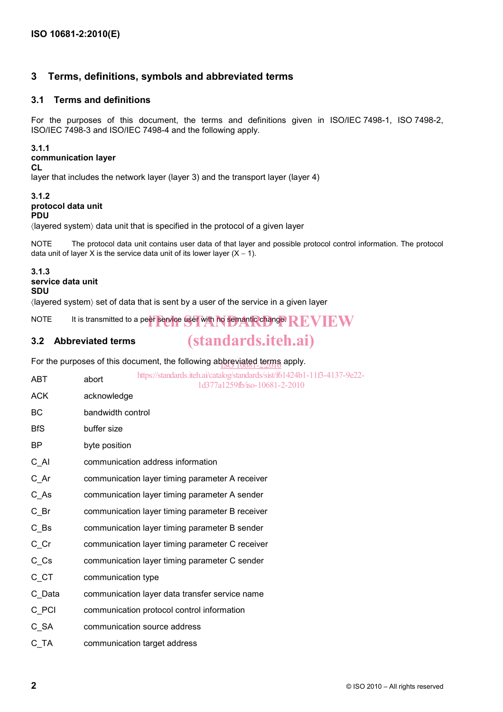## **3 Terms, definitions, symbols and abbreviated terms**

#### **3.1 Terms and definitions**

For the purposes of this document, the terms and definitions given in ISO/IEC 7498-1, ISO 7498-2, ISO/IEC 7498-3 and ISO/IEC 7498-4 and the following apply.

#### **3.1.1**

#### **communication layer**

#### **CL**

layer that includes the network layer (layer 3) and the transport layer (layer 4)

#### **3.1.2 protocol data unit PDU**

〈layered system〉 data unit that is specified in the protocol of a given layer

NOTE The protocol data unit contains user data of that layer and possible protocol control information. The protocol data unit of layer X is the service data unit of its lower layer  $(X - 1)$ .

## **3.1.3**

#### **service data unit SDU**

〈layered system〉 set of data that is sent by a user of the service in a given layer

NOTE It is transmitted to a peer service user with no semantic change.  $\bf REWEW$ 

#### **3.2 Abbreviated terms**

# (standards.iteh.ai)

For the purposes of this document, the following abbreviated terms apply.

|            | $15010001 - 22010$                                                                                                  |
|------------|---------------------------------------------------------------------------------------------------------------------|
| <b>ABT</b> | https://standards.iteh.ai/catalog/standards/sist/f61424b1-11f3-4137-9e22-<br>abort<br>1d377a1259fb/iso-10681-2-2010 |
| <b>ACK</b> | acknowledge                                                                                                         |
| BC         | bandwidth control                                                                                                   |
| <b>BfS</b> | buffer size                                                                                                         |
| BP         | byte position                                                                                                       |
| $C_{Al}$   | communication address information                                                                                   |
| $C_Ar$     | communication layer timing parameter A receiver                                                                     |
| $C$ As     | communication layer timing parameter A sender                                                                       |
| $C$ $Br$   | communication layer timing parameter B receiver                                                                     |
| $C$ $Bs$   | communication layer timing parameter B sender                                                                       |
| $C_{cr}$   | communication layer timing parameter C receiver                                                                     |
| $C_{S}$    | communication layer timing parameter C sender                                                                       |
| $C_C$      | communication type                                                                                                  |
| C_Data     | communication layer data transfer service name                                                                      |
| C_PCI      | communication protocol control information                                                                          |
| $C_S A$    | communication source address                                                                                        |
|            |                                                                                                                     |

C\_TA communication target address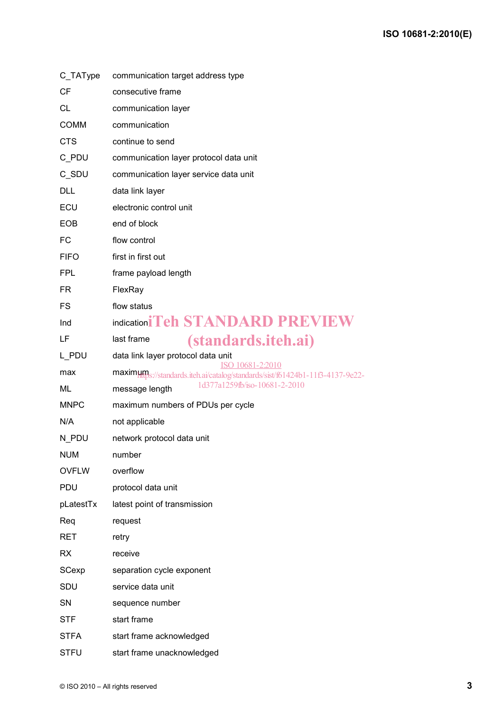| C_TAType     | communication target address type                                                                            |
|--------------|--------------------------------------------------------------------------------------------------------------|
| CF           | consecutive frame                                                                                            |
| <b>CL</b>    | communication layer                                                                                          |
| <b>COMM</b>  | communication                                                                                                |
| <b>CTS</b>   | continue to send                                                                                             |
| C_PDU        | communication layer protocol data unit                                                                       |
| C_SDU        | communication layer service data unit                                                                        |
| <b>DLL</b>   | data link layer                                                                                              |
| ECU          | electronic control unit                                                                                      |
| EOB          | end of block                                                                                                 |
| <b>FC</b>    | flow control                                                                                                 |
| <b>FIFO</b>  | first in first out                                                                                           |
| <b>FPL</b>   | frame payload length                                                                                         |
| FR.          | FlexRay                                                                                                      |
| FS           | flow status                                                                                                  |
| Ind          | indication <b>Teh STANDARD PREVIEW</b>                                                                       |
| LF           | <i>(standards.iteh.ai)</i><br>last frame                                                                     |
| L_PDU        | data link layer protocol data unit                                                                           |
| max          | ISO 10681-2:2010<br>maximum <sub>s://standards.iteh.ai/catalog/standards/sist/f61424b1-11f3-4137-9e22-</sub> |
| ML           | 1d377a1259fb/iso-10681-2-2010<br>message length                                                              |
| <b>MNPC</b>  | maximum numbers of PDUs per cycle                                                                            |
| N/A          | not applicable                                                                                               |
| N PDU        | network protocol data unit                                                                                   |
| <b>NUM</b>   | number                                                                                                       |
| <b>OVFLW</b> | overflow                                                                                                     |
| <b>PDU</b>   | protocol data unit                                                                                           |
| pLatestTx    | latest point of transmission                                                                                 |
| Reg          | request                                                                                                      |
| RET          | retry                                                                                                        |
| <b>RX</b>    | receive                                                                                                      |
| SCexp        | separation cycle exponent                                                                                    |
| SDU          | service data unit                                                                                            |
| <b>SN</b>    | sequence number                                                                                              |
| <b>STF</b>   | start frame                                                                                                  |
| <b>STFA</b>  | start frame acknowledged                                                                                     |
| STFU         | start frame unacknowledged                                                                                   |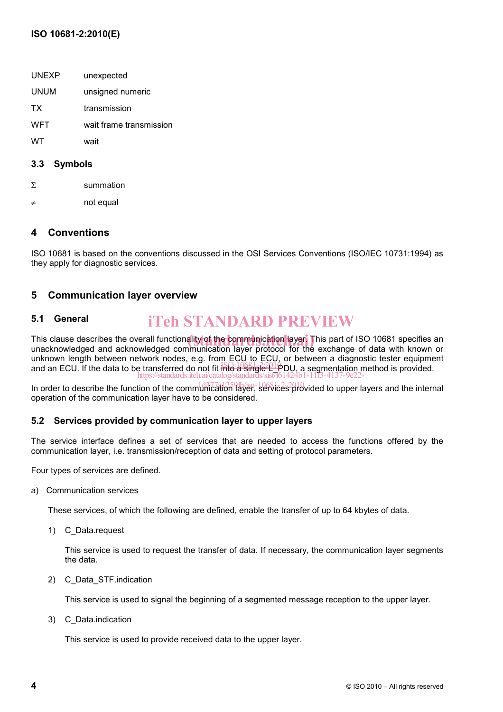- UNEXP unexpected
- UNUM unsigned numeric
- TX transmission
- WFT wait frame transmission
- WT wait

#### **3.3 Symbols**

- $Σ$  summation
- ≠ not equal

#### **4 Conventions**

ISO 10681 is based on the conventions discussed in the OSI Services Conventions (ISO/IEC 10731:1994) as they apply for diagnostic services.

#### **5 Communication layer overview**

#### **5.1 General**  iTeh STANDARD PREVIEW

This clause describes the overall functionality of the communication layer. This part of ISO 10681 specifies an<br>Unacknowledged and acknowledged communication layer protocol for the exchange of data with known or unacknowledged and acknowledged communication layer protocol for the exchange of data with known or unknown length between network nodes, e.g. from ECU to ECU, or between a diagnostic tester equipment and an ECU. If the data to be transferred do not fit into a single L\_PDU, a segmentation method is provided. https://standards.iteh.ai/catalog/standards/sist/f61424b1-11f3-4137-9e22-

In order to describe the function of the communication layer, services provided to upper layers and the internal operation of the communication layer have to be considered.

#### **5.2 Services provided by communication layer to upper layers**

The service interface defines a set of services that are needed to access the functions offered by the communication layer, i.e. transmission/reception of data and setting of protocol parameters.

Four types of services are defined.

a) Communication services

These services, of which the following are defined, enable the transfer of up to 64 kbytes of data.

1) C\_Data.request

This service is used to request the transfer of data. If necessary, the communication layer segments the data.

2) C\_Data\_STF.indication

This service is used to signal the beginning of a segmented message reception to the upper layer.

3) C\_Data.indication

This service is used to provide received data to the upper layer.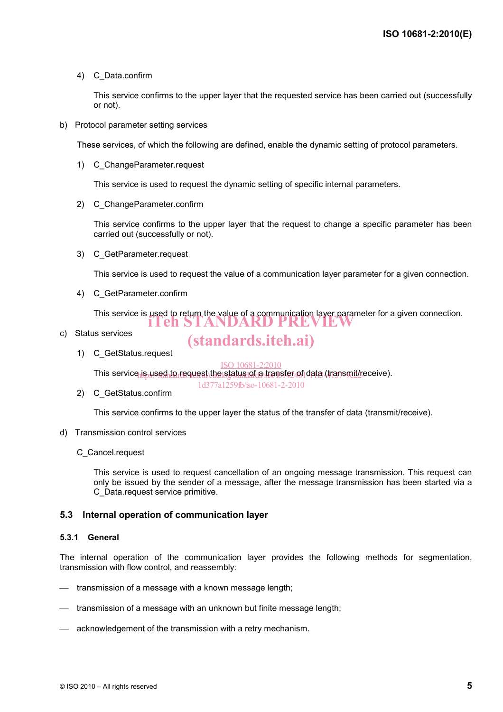4) C\_Data.confirm

This service confirms to the upper layer that the requested service has been carried out (successfully or not).

b) Protocol parameter setting services

These services, of which the following are defined, enable the dynamic setting of protocol parameters.

1) C\_ChangeParameter.request

This service is used to request the dynamic setting of specific internal parameters.

2) C\_ChangeParameter.confirm

This service confirms to the upper layer that the request to change a specific parameter has been carried out (successfully or not).

3) C\_GetParameter.request

This service is used to request the value of a communication layer parameter for a given connection.

4) C\_GetParameter.confirm

This service is used to return the value of a communication layer parameter for a given connection. iTeh STANDARD PREVIEW

c) Status services

# (standards.iteh.ai)

1) C\_GetStatus.request

ISO 10681-2:2010

This service<sub>r</sub>is used to request the status of a transfer of data (transmit/receive).

2) C\_GetStatus.confirm 1d377a1259fb/iso-10681-2-2010

This service confirms to the upper layer the status of the transfer of data (transmit/receive).

- d) Transmission control services
	- C\_Cancel.request

This service is used to request cancellation of an ongoing message transmission. This request can only be issued by the sender of a message, after the message transmission has been started via a C\_Data.request service primitive.

#### **5.3 Internal operation of communication layer**

#### **5.3.1 General**

The internal operation of the communication layer provides the following methods for segmentation, transmission with flow control, and reassembly:

- transmission of a message with a known message length;
- transmission of a message with an unknown but finite message length;
- $-$  acknowledgement of the transmission with a retry mechanism.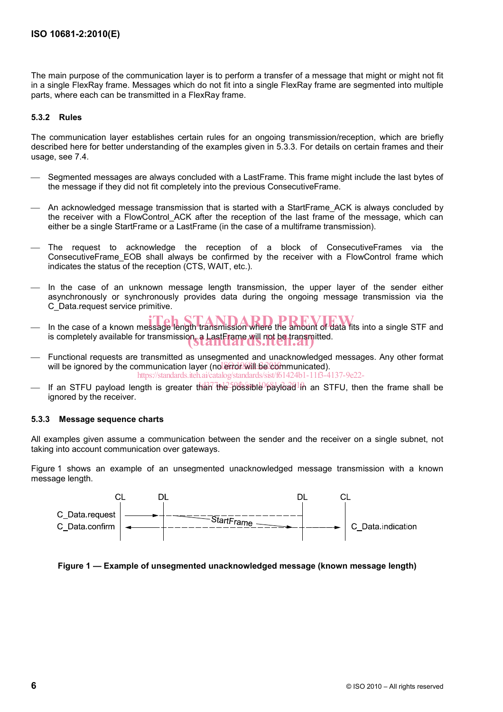The main purpose of the communication layer is to perform a transfer of a message that might or might not fit in a single FlexRay frame. Messages which do not fit into a single FlexRay frame are segmented into multiple parts, where each can be transmitted in a FlexRay frame.

#### **5.3.2 Rules**

The communication layer establishes certain rules for an ongoing transmission/reception, which are briefly described here for better understanding of the examples given in 5.3.3. For details on certain frames and their usage, see 7.4.

- Segmented messages are always concluded with a LastFrame. This frame might include the last bytes of the message if they did not fit completely into the previous ConsecutiveFrame.
- An acknowledged message transmission that is started with a StartFrame\_ACK is always concluded by the receiver with a FlowControl ACK after the reception of the last frame of the message, which can either be a single StartFrame or a LastFrame (in the case of a multiframe transmission).
- The request to acknowledge the reception of a block of ConsecutiveFrames via the ConsecutiveFrame EOB shall always be confirmed by the receiver with a FlowControl frame which indicates the status of the reception (CTS, WAIT, etc.).
- In the case of an unknown message length transmission, the upper layer of the sender either asynchronously or synchronously provides data during the ongoing message transmission via the C\_Data.request service primitive.
- IN the case of a known message length transmission where the amount of data fits into a single STF and is completely available for transmission, a LastFrame will not be transmitted.<br>
Standards.iten.ai
- Functional requests are transmitted as unsegmented and unacknowledged messages. Any other format will be ignored by the communication layer (no error will be communicated). https://standards.iteh.ai/catalog/standards/sist/f61424b1-11f3-4137-9e22-
- $-$  If an STFU payload length is greater than the possible payload in an STFU, then the frame shall be ignored by the receiver.

#### **5.3.3 Message sequence charts**

All examples given assume a communication between the sender and the receiver on a single subnet, not taking into account communication over gateways.

Figure 1 shows an example of an unsegmented unacknowledged message transmission with a known message length.



**Figure 1 — Example of unsegmented unacknowledged message (known message length)**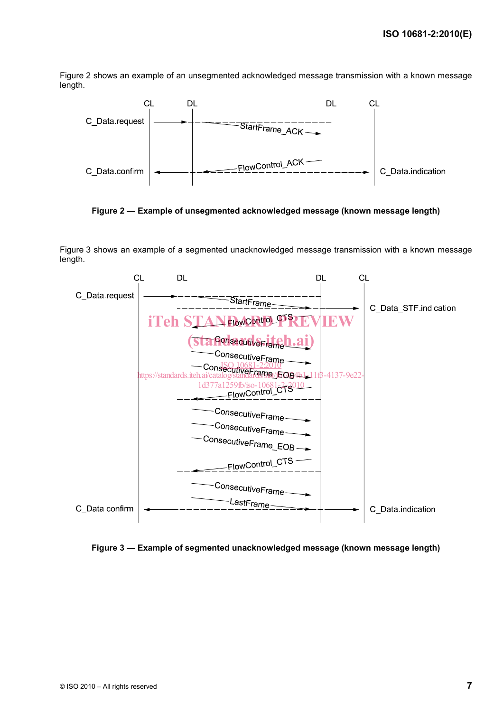Figure 2 shows an example of an unsegmented acknowledged message transmission with a known message length.



**Figure 2 — Example of unsegmented acknowledged message (known message length)** 

Figure 3 shows an example of a segmented unacknowledged message transmission with a known message length.



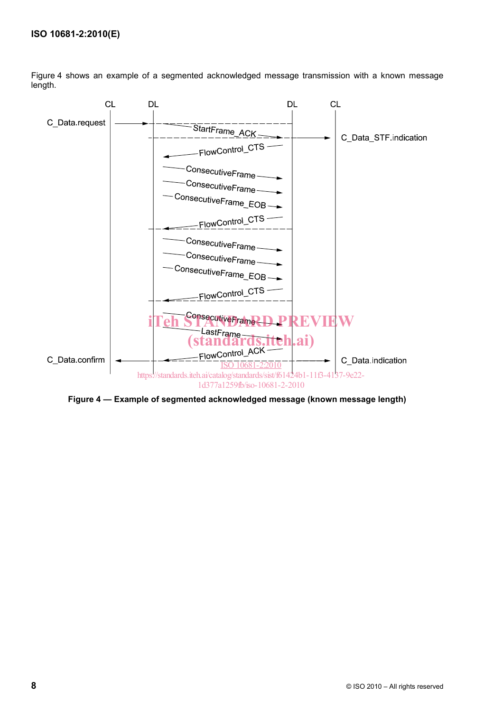



**Figure 4 — Example of segmented acknowledged message (known message length)**